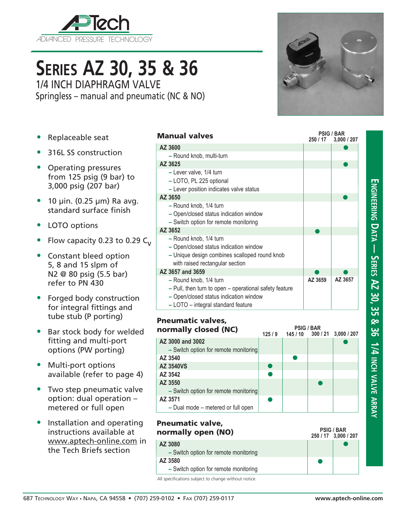

## **Series AZ 30, 35 & 36**

1/4 INCH DIAPHRAGM VALVE Springless – manual and pneumatic (NC & NO)

- Replaceable seat
- 316L SS construction
- Operating pressures from 125 psig (9 bar) to 3,000 psig (207 bar)
- $\bullet$  10 µin. (0.25 µm) Ra avg. standard surface finish
- LOTO options
- Flow capacity 0.23 to 0.29  $C_{V}$
- Constant bleed option 5, 8 and 15 slpm of N2 @ 80 psig (5.5 bar) refer to PN 430
- Forged body construction for integral fittings and tube stub (P porting)
- Bar stock body for welded fitting and multi-port options (PW porting)
- Multi-port options available (refer to page 4)
- Two step pneumatic valve option: dual operation – metered or full open
- Installation and operating instructions available at www.aptech-online.com in the Tech Briefs section

| AZ 3600                                                                                                                                              |         |
|------------------------------------------------------------------------------------------------------------------------------------------------------|---------|
| - Round knob, multi-turn                                                                                                                             |         |
| AZ 3625                                                                                                                                              |         |
| - Lever valve, 1/4 turn<br>- LOTO, PL 225 optional<br>- Lever position indicates valve status                                                        |         |
| AZ 3650                                                                                                                                              |         |
| - Round knob, 1/4 turn<br>- Open/closed status indication window<br>- Switch option for remote monitoring                                            |         |
| AZ 3652                                                                                                                                              |         |
| - Round knob, 1/4 turn<br>- Open/closed status indication window<br>- Unique design combines scalloped round knob<br>with raised rectangular section |         |
| AZ 3657 and 3659                                                                                                                                     |         |
| - Round knob, 1/4 turn                                                                                                                               | AZ 3659 |

- **–** Pull, then turn to open operational safety feature
- **–** Open/closed status indication window
- **–** LOTO integral standard feature

Manual valves



#### $\bullet$ **250 / 17 3,000 / 207 PSIG / BAR**  $\bullet$ Pneumatic valve, normally open (NO) **AZ 3080 –** Switch option for remote monitoring **AZ 3580 –** Switch option for remote monitoring

All specifications subject to change without notice.



**250 / 17 3,000 / 207 PSIG / BAR**

 $\bullet$ 

 $\bullet$ 

 $\bullet$ 

 $\bullet$ 

**AZ 3659 AZ 3657**

# **Engineering D a t a — Series AZ 30, 35 & 36 1/4 inch v alve arr a y**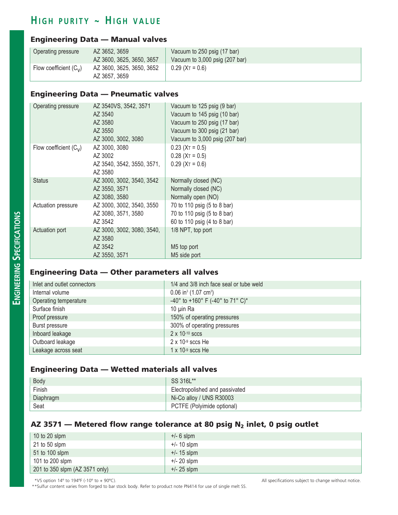### $H$  **igh purity ~ High value**

#### Engineering Data — Manual valves

| Operating pressure       | AZ 3652, 3659<br>AZ 3600, 3625, 3650, 3657 | Vacuum to 250 psig (17 bar)<br>Vacuum to $3,000$ psig (207 bar) |
|--------------------------|--------------------------------------------|-----------------------------------------------------------------|
| Flow coefficient $(C_v)$ | AZ 3600, 3625, 3650, 3652<br>AZ 3657, 3659 | $0.29$ (X <sub>T</sub> = 0.6)                                   |

#### Engineering Data — Pneumatic valves

| Operating pressure       | AZ 3540VS, 3542, 3571<br>AZ 3540<br>AZ 3580<br>AZ 3550<br>AZ 3000, 3002, 3080 | Vacuum to 125 psig (9 bar)<br>Vacuum to 145 psig (10 bar)<br>Vacuum to 250 psig (17 bar)<br>Vacuum to 300 psig (21 bar)<br>Vacuum to 3,000 psig (207 bar) |
|--------------------------|-------------------------------------------------------------------------------|-----------------------------------------------------------------------------------------------------------------------------------------------------------|
| Flow coefficient $(C_v)$ | AZ 3000, 3080<br>AZ 3002<br>AZ 3540, 3542, 3550, 3571,<br>AZ 3580             | $0.23$ (X <sub>T</sub> = 0.5)<br>$0.28$ (X <sub>T</sub> = 0.5)<br>$0.29$ (X <sub>T</sub> = 0.6)                                                           |
| <b>Status</b>            | AZ 3000, 3002, 3540, 3542<br>AZ 3550, 3571<br>AZ 3080, 3580                   | Normally closed (NC)<br>Normally closed (NC)<br>Normally open (NO)                                                                                        |
| Actuation pressure       | AZ 3000, 3002, 3540, 3550<br>AZ 3080, 3571, 3580<br>AZ 3542                   | 70 to 110 psig (5 to 8 bar)<br>70 to 110 psig (5 to 8 bar)<br>60 to 110 psig (4 to 8 bar)                                                                 |
| Actuation port           | AZ 3000, 3002, 3080, 3540,<br>AZ 3580<br>AZ 3542<br>AZ 3550, 3571             | 1/8 NPT, top port<br>M5 top port<br>M5 side port                                                                                                          |

#### Engineering Data — Other parameters all valves

| Inlet and outlet connectors | 1/4 and 3/8 inch face seal or tube weld        |
|-----------------------------|------------------------------------------------|
| Internal volume             | $0.06$ in <sup>3</sup> (1.07 cm <sup>3</sup> ) |
| Operating temperature       | -40° to +160° F (-40° to 71° C)*               |
| Surface finish              | 10 µin Ra                                      |
| Proof pressure              | 150% of operating pressures                    |
| Burst pressure              | 300% of operating pressures                    |
| Inboard leakage             | $2 \times 10^{-10}$ sccs                       |
| Outboard leakage            | $2 \times 10-9$ sccs He                        |
| Leakage across seat         | $1 \times 10^{-9}$ sccs He                     |

#### Engineering Data — Wetted materials all valves

| Body      | SS 316L**                      |
|-----------|--------------------------------|
| Finish    | Electropolished and passivated |
| Diaphragm | Ni-Co alloy / UNS R30003       |
| Seat      | PCTFE (Polyimide optional)     |

#### AZ 3571 – Metered flow range tolerance at 80 psig  $N_2$  inlet, 0 psig outlet

| 10 to 20 slpm                  | $+/- 6$ slpm  |
|--------------------------------|---------------|
| 21 to 50 slpm                  | $+/- 10$ slpm |
| 51 to 100 slpm                 | $+/- 15$ slpm |
| 101 to 200 slpm                | $+/- 20$ slpm |
| 201 to 350 slpm (AZ 3571 only) | $+/- 25$ slpm |

\*\*Sulfur content varies from forged to bar stock body. Refer to product note PN414 for use of single melt SS.\*

\*VS option 14º to 194ºF (-10º to + 90ºC). All specifications subject to change without notice.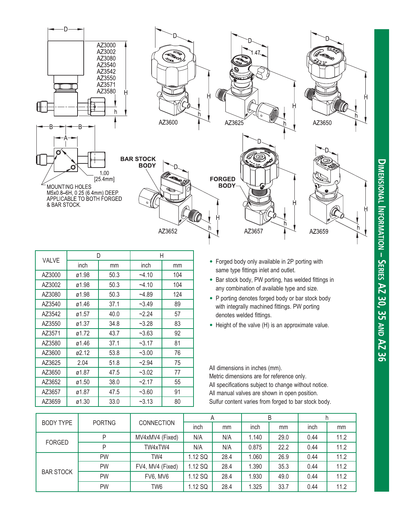

| <b>VALVE</b> | D     |      | Н       |     |  |
|--------------|-------|------|---------|-----|--|
|              | inch  | mm   | inch    | mm  |  |
| AZ3000       | ø1.98 | 50.3 | $-4.10$ | 104 |  |
| AZ3002       | ø1.98 | 50.3 | $-4.10$ | 104 |  |
| AZ3080       | ø1.98 | 50.3 | $-4.89$ | 124 |  |
| AZ3540       | ø1.46 | 37.1 | $-3.49$ | 89  |  |
| AZ3542       | ø1.57 | 40.0 | $-2.24$ | 57  |  |
| AZ3550       | ø1.37 | 34.8 | $-3.28$ | 83  |  |
| AZ3571       | ø1.72 | 43.7 | ~2.63   | 92  |  |
| AZ3580       | ø1.46 | 37.1 | $-3.17$ | 81  |  |
| AZ3600       | ø2.12 | 53.8 | $-3.00$ | 76  |  |
| AZ3625       | 2.04  | 51.8 | $-2.94$ | 75  |  |
| AZ3650       | ø1.87 | 47.5 | $-3.02$ | 77  |  |
| AZ3652       | ø1.50 | 38.0 | $-2.17$ | 55  |  |
| AZ3657       | ø1.87 | 47.5 | $-3.60$ | 91  |  |
| AZ3659       | ø1.30 | 33.0 | $-3.13$ | 80  |  |

- Forged body only available in 2P porting with same type fittings inlet and outlet.
- Bar stock body, PW porting, has welded fittings in any combination of available type and size.
- P porting denotes forged body or bar stock body with integrally machined fittings. PW porting denotes welded fittings.
- Height of the valve (H) is an approximate value.

All dimensions in inches (mm). Metric dimensions are for reference only. All specifications subject to change without notice. All manual valves are shown in open position. Sulfur content varies from forged to bar stock body.

| <b>PORTNG</b><br><b>BODY TYPE</b> |           | <b>CONNECTION</b> | Α       |      | B     |      |      |      |
|-----------------------------------|-----------|-------------------|---------|------|-------|------|------|------|
|                                   |           |                   | inch    | mm   | inch  | mm   | inch | mm   |
| <b>FORGED</b>                     | P         | MV4xMV4 (Fixed)   | N/A     | N/A  | 1.140 | 29.0 | 0.44 | 11.2 |
| P                                 |           | TW4xTW4           | N/A     | N/A  | 0.875 | 22.2 | 0.44 | 11.2 |
|                                   | <b>PW</b> | TW4               | 1.12 SQ | 28.4 | .060  | 26.9 | 0.44 | 11.2 |
| <b>BAR STOCK</b>                  | <b>PW</b> | FV4, MV4 (Fixed)  | 1.12 SQ | 28.4 | 1.390 | 35.3 | 0.44 | 11.2 |
|                                   | PW        | FV6, MV6          | 1.12 SQ | 28.4 | 1.930 | 49.0 | 0.44 | 11.2 |
|                                   | PW        | TW <sub>6</sub>   | 1.12 SQ | 28.4 | 1.325 | 33.7 | 0.44 | 11.2 |